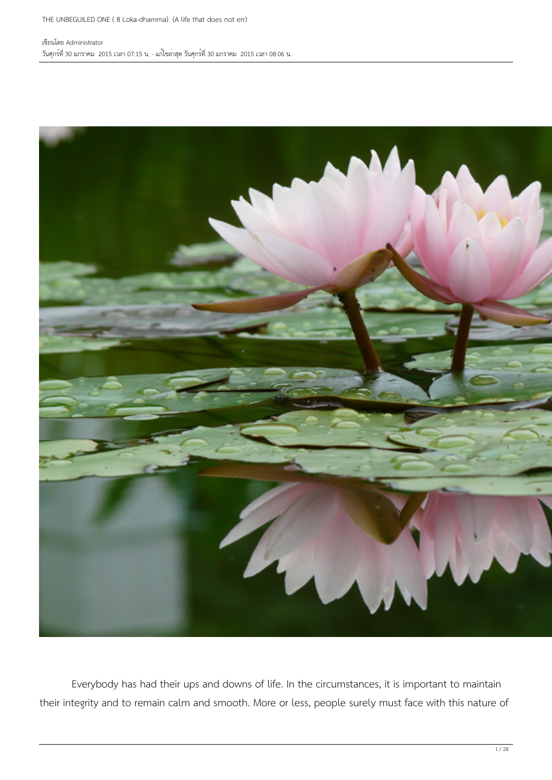

 Everybody has had their ups and downs of life. In the circumstances, it is important to maintain their integrity and to remain calm and smooth. More or less, people surely must face with this nature of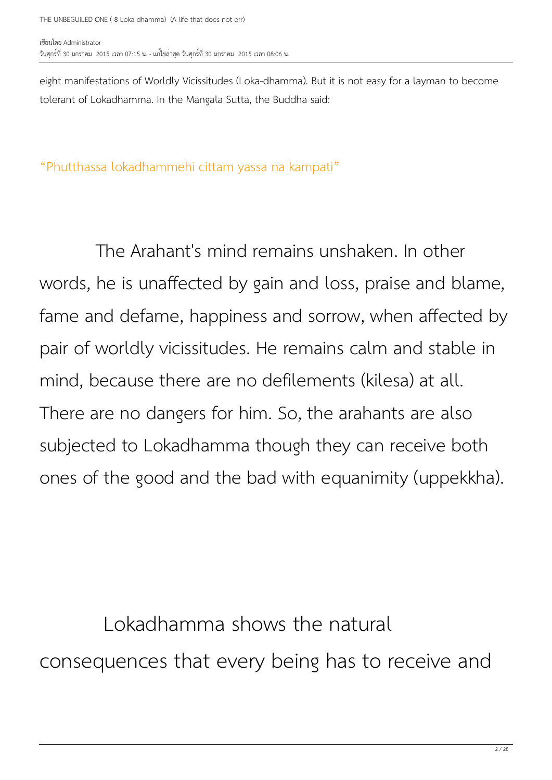eight manifestations of Worldly Vicissitudes (Loka-dhamma). But it is not easy for a layman to become tolerant of Lokadhamma. In the Mangala Sutta, the Buddha said:

"Phutthassa lokadhammehi cittam yassa na kampati"

 The Arahant's mind remains unshaken. In other words, he is unaffected by gain and loss, praise and blame, fame and defame, happiness and sorrow, when affected by pair of worldly vicissitudes. He remains calm and stable in mind, because there are no defilements (kilesa) at all. There are no dangers for him. So, the arahants are also subjected to Lokadhamma though they can receive both ones of the good and the bad with equanimity (uppekkha).

 Lokadhamma shows the natural consequences that every being has to receive and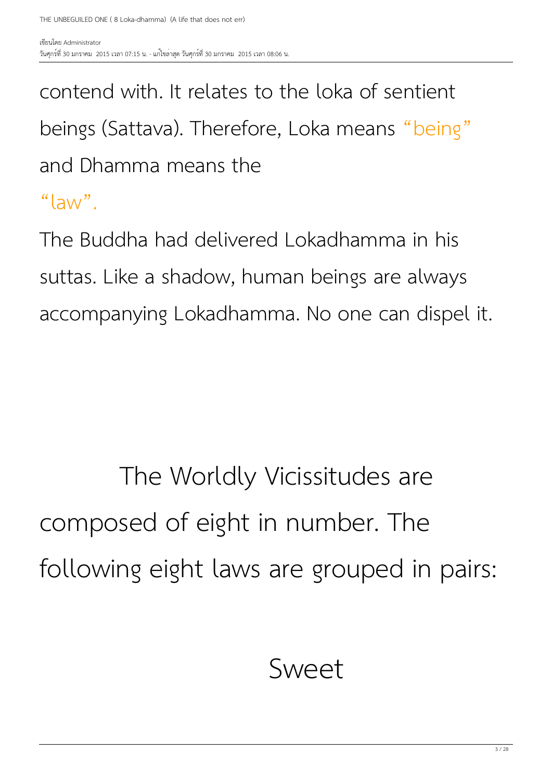contend with. It relates to the loka of sentient beings (Sattava). Therefore, Loka means "being" and Dhamma means the "law".

The Buddha had delivered Lokadhamma in his suttas. Like a shadow, human beings are always accompanying Lokadhamma. No one can dispel it.

#### The Worldly Vicissitudes are composed of eight in number. The following eight laws are grouped in pairs:

#### Sweet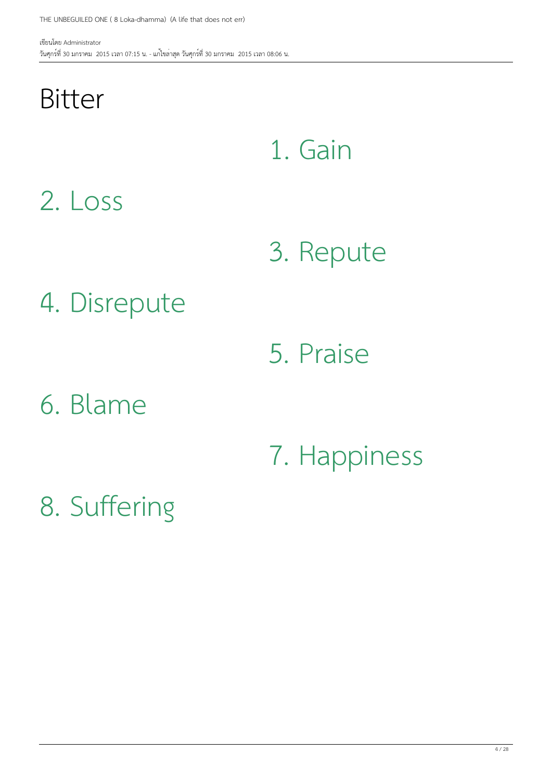#### Bitter

1. Gain

2. Loss

3. Repute

4. Disrepute

5. Praise

6. Blame

7. Happiness

8. Suffering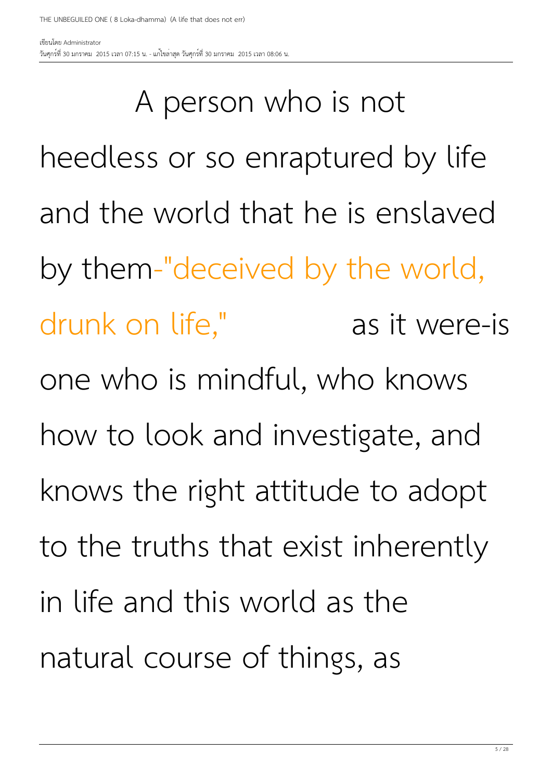A person who is not heedless or so enraptured by life and the world that he is enslaved by them-"deceived by the world, drunk on life," as it were-is one who is mindful, who knows how to look and investigate, and knows the right attitude to adopt to the truths that exist inherently in life and this world as the natural course of things, as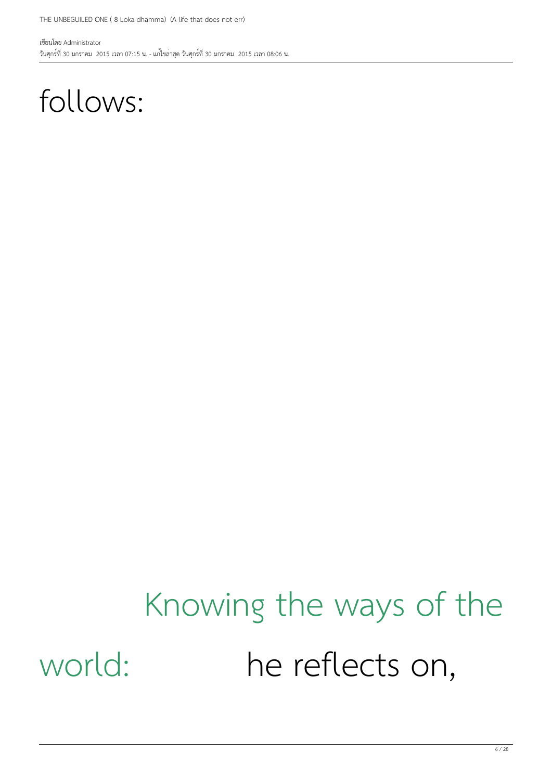#### follows:

### Knowing the ways of the world: he reflects on,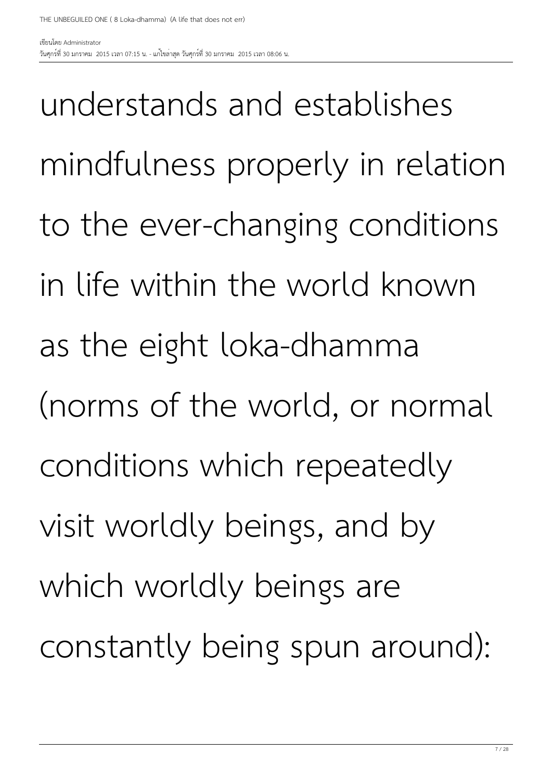understands and establishes mindfulness properly in relation to the ever-changing conditions in life within the world known as the eight loka-dhamma (norms of the world, or normal conditions which repeatedly visit worldly beings, and by which worldly beings are constantly being spun around):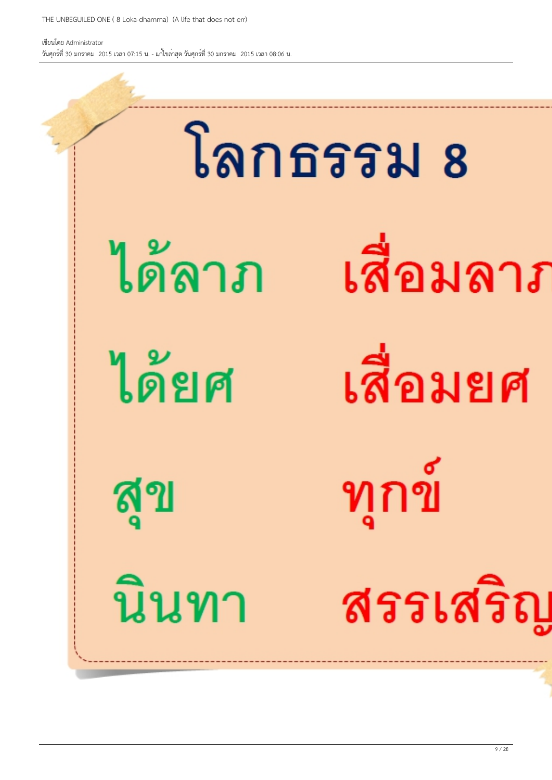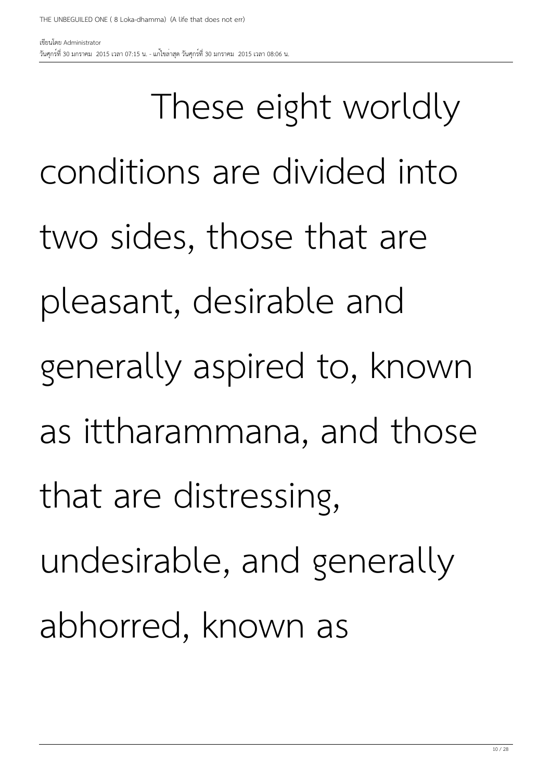วันศุกร์ที่ 30 มกราคม 2015 เวลา 07:15 น. - แก้ไขล่าสุด วันศุกร์ที่ 30 มกราคม 2015 เวลา 08:06 น.

เขียนโดย Administrator

 These eight worldly conditions are divided into two sides, those that are pleasant, desirable and generally aspired to, known as ittharammana, and those that are distressing, undesirable, and generally abhorred, known as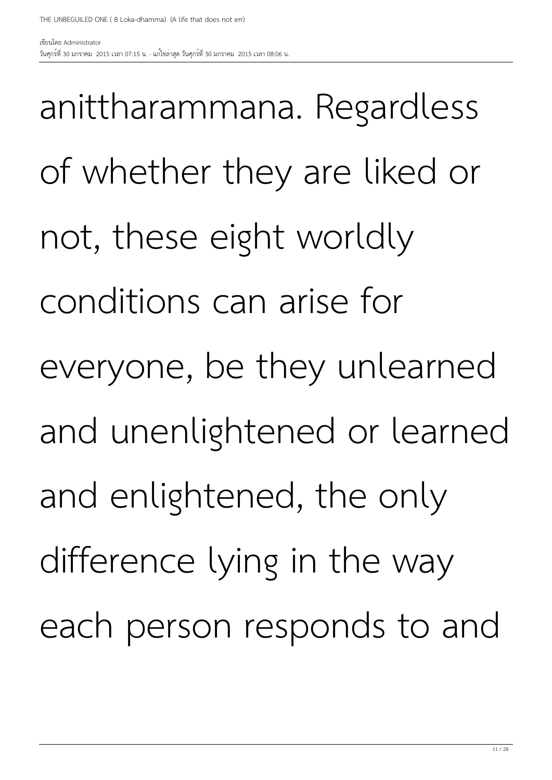วันศุกร์ที่ 30 มกราคม 2015 เวลา 07:15 น. - แก้ไขล่าสุด วันศุกร์ที่ 30 มกราคม 2015 เวลา 08:06 น.

เขียนโดย Administrator

anittharammana. Regardless of whether they are liked or not, these eight worldly conditions can arise for everyone, be they unlearned and unenlightened or learned and enlightened, the only difference lying in the way each person responds to and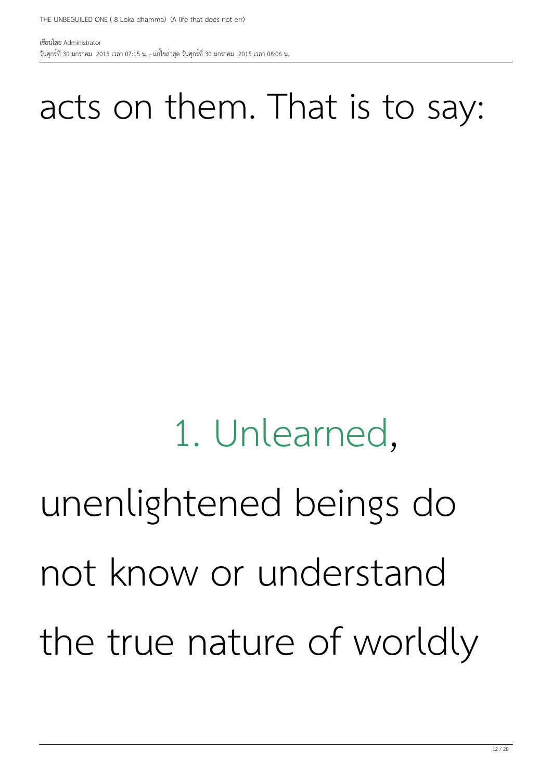#### acts on them. That is to say:

### 1. Unlearned, unenlightened beings do not know or understand the true nature of worldly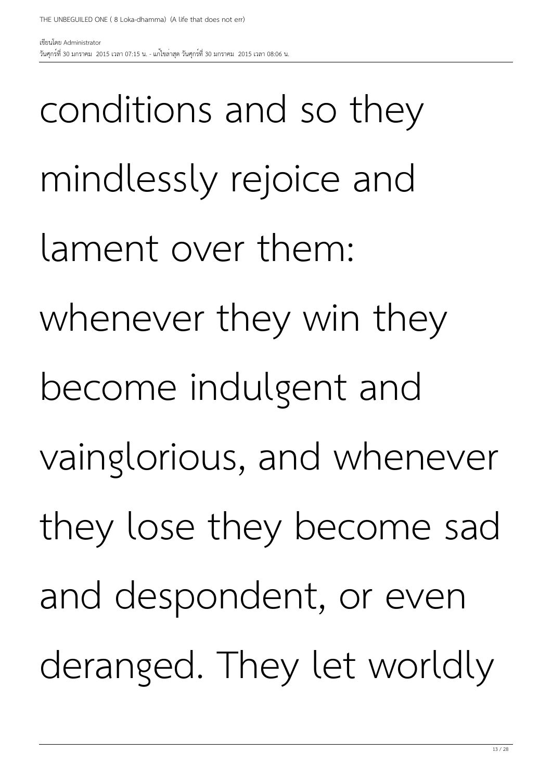conditions and so they mindlessly rejoice and lament over them: whenever they win they become indulgent and vainglorious, and whenever they lose they become sad and despondent, or even deranged. They let worldly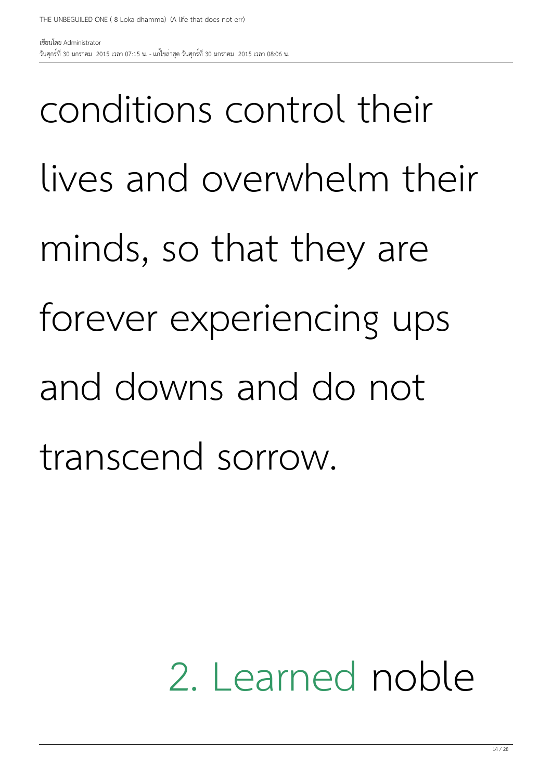conditions control their lives and overwhelm their minds, so that they are forever experiencing ups and downs and do not transcend sorrow.

#### 2. Learned noble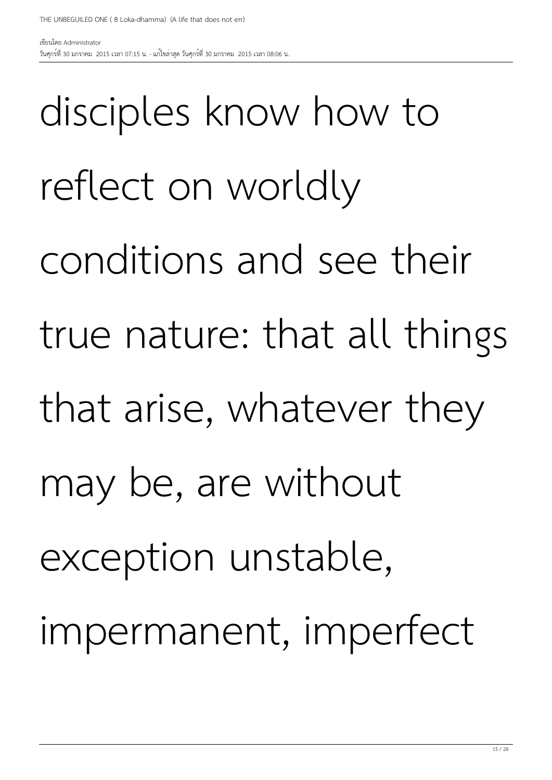disciples know how to reflect on worldly conditions and see their true nature: that all things that arise, whatever they may be, are without exception unstable, impermanent, imperfect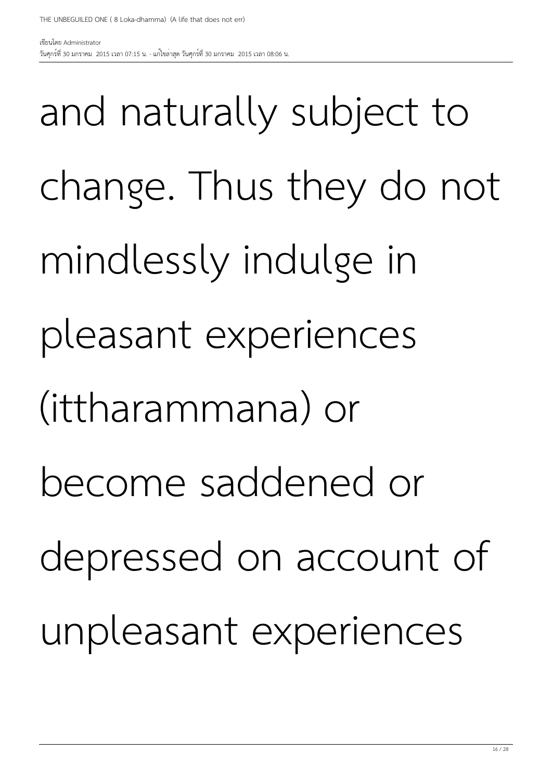วันศุกร์ที่ 30 มกราคม 2015 เวลา 07:15 น. - แก้ไขล่าสุด วันศุกร์ที่ 30 มกราคม 2015 เวลา 08:06 น.

เขียนโดย Administrator

and naturally subject to change. Thus they do not mindlessly indulge in pleasant experiences (ittharammana) or become saddened or depressed on account of unpleasant experiences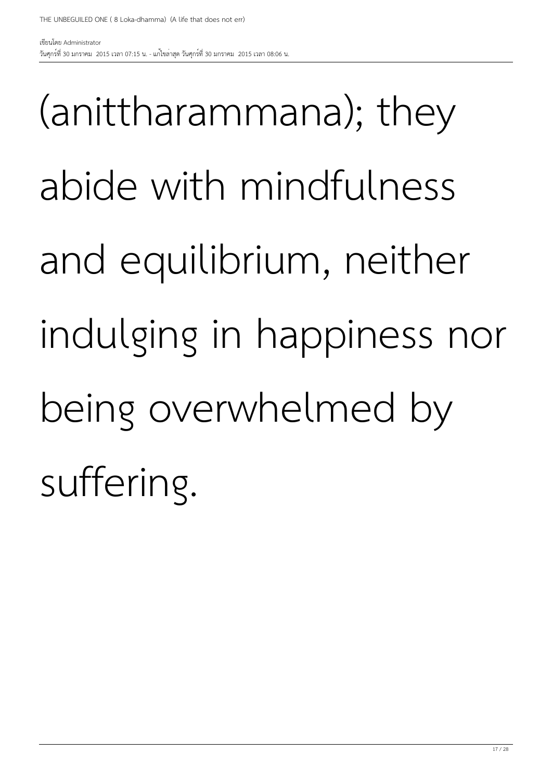(anittharammana); they abide with mindfulness and equilibrium, neither indulging in happiness nor being overwhelmed by suffering.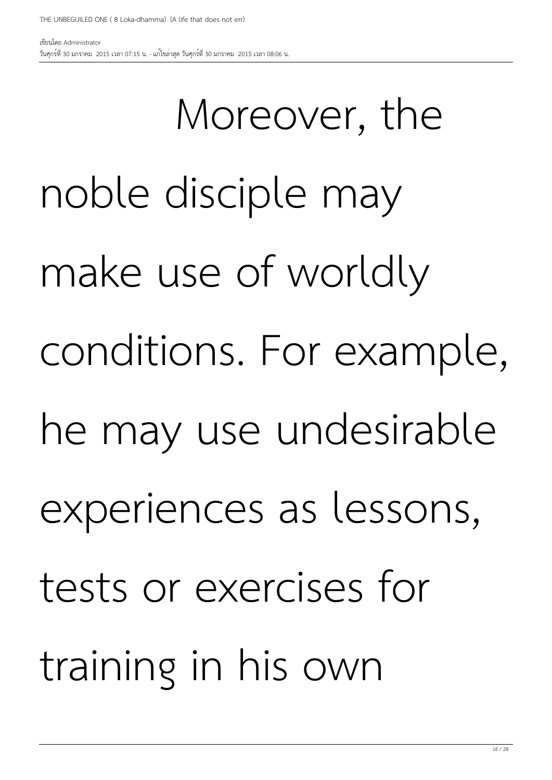วันศุกร์ที่ 30 มกราคม 2015 เวลา 07:15 น. - แก้ไขล่าสุด วันศุกร์ที่ 30 มกราคม 2015 เวลา 08:06 น.

เขียนโดย Administrator

 Moreover, the noble disciple may make use of worldly conditions. For example, he may use undesirable experiences as lessons, tests or exercises for training in his own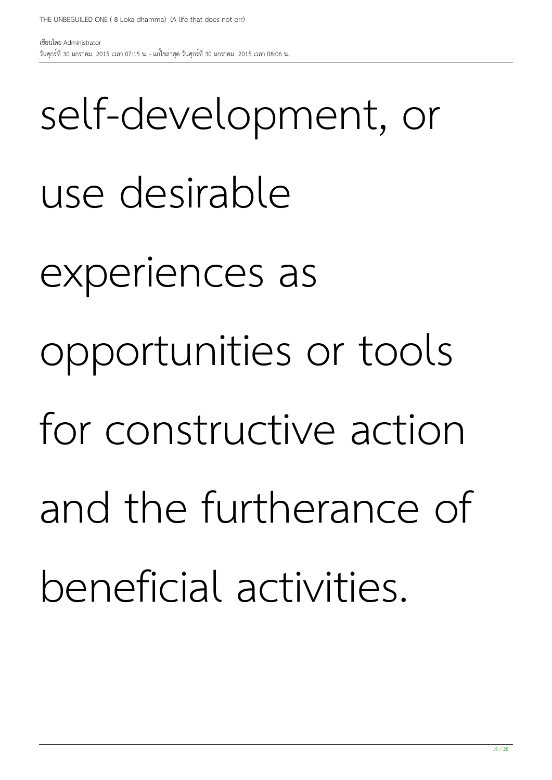self-development, or use desirable experiences as opportunities or tools for constructive action and the furtherance of beneficial activities.

THE UNBEGUILED ONE ( 8 Loka-dhamma) (A life that does not err)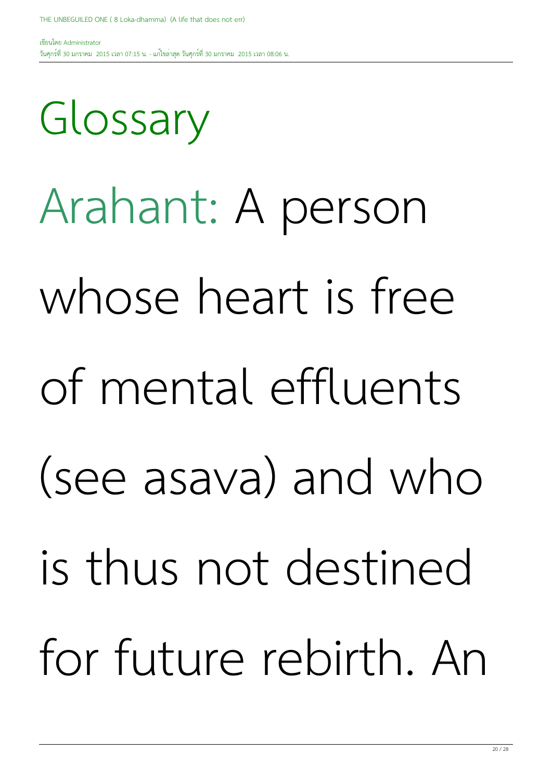Glossary

เขียนโดย Administrator วันศุกร์ที่ 30 มกราคม 2015 เวลา 07:15 น. - แก้ไขล่าสุด วันศุกร์ที่ 30 มกราคม 2015 เวลา 08:06 น.

Arahant: A person

whose heart is free

of mental effluents

(see asava) and who

is thus not destined

for future rebirth. An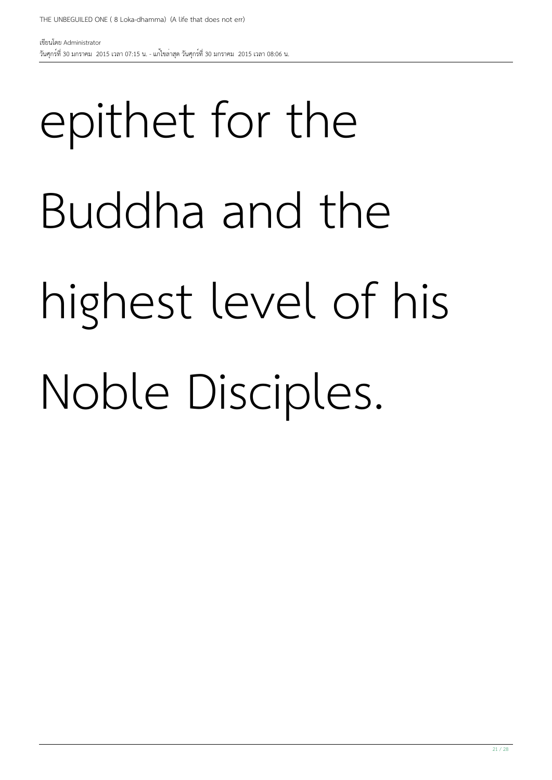## epithet for the Buddha and the highest level of his Noble Disciples.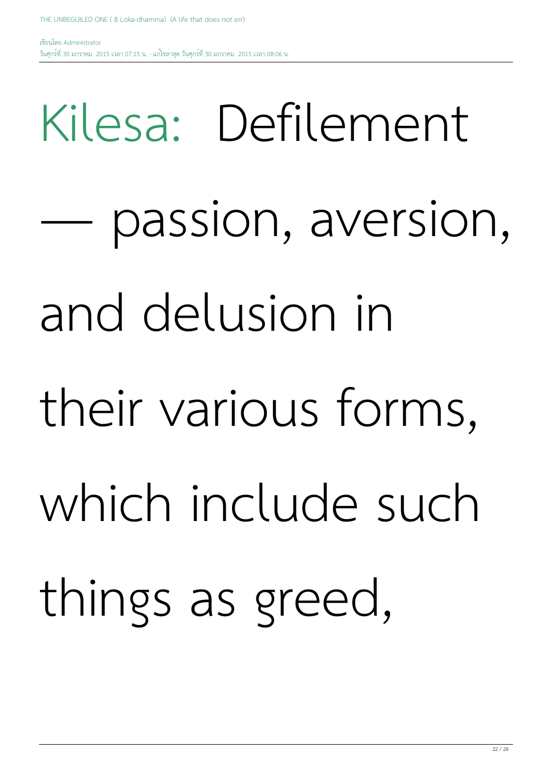# Kilesa: Defilement passion, aversion, and delusion in their various forms, which include such things as greed,

วันศุกร์ที่ 30 มกราคม 2015 เวลา 07:15 น. - แก้ไขล่าสุด วันศุกร์ที่ 30 มกราคม 2015 เวลา 08:06 น.

THE UNBEGUILED ONE ( 8 Loka-dhamma) (A life that does not err)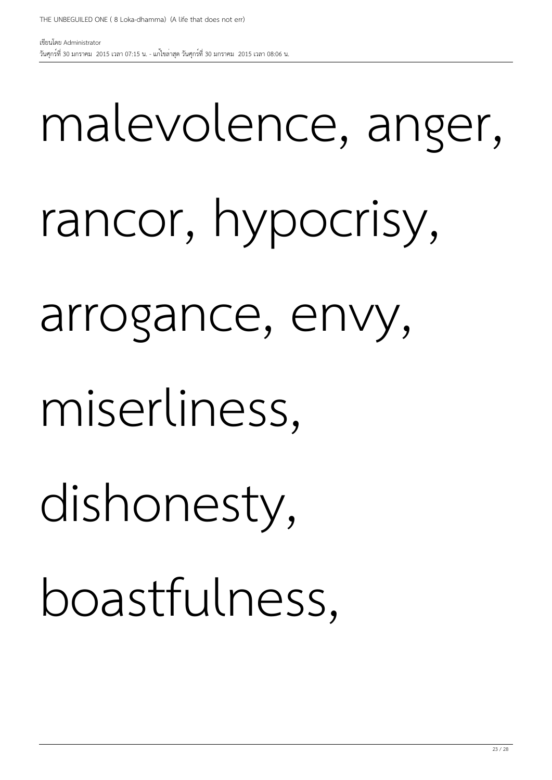## malevolence, anger, rancor, hypocrisy, arrogance, envy, miserliness, dishonesty, boastfulness,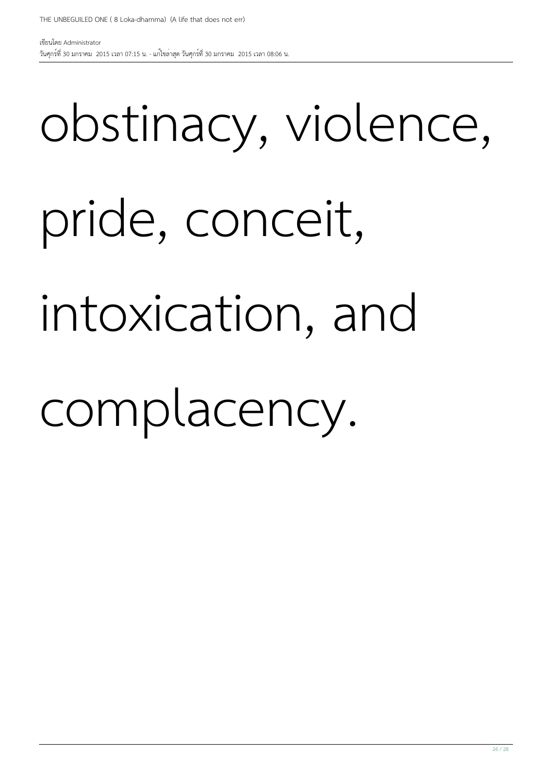24 / 28

## pride, conceit, intoxication, and

obstinacy, violence,

### complacency.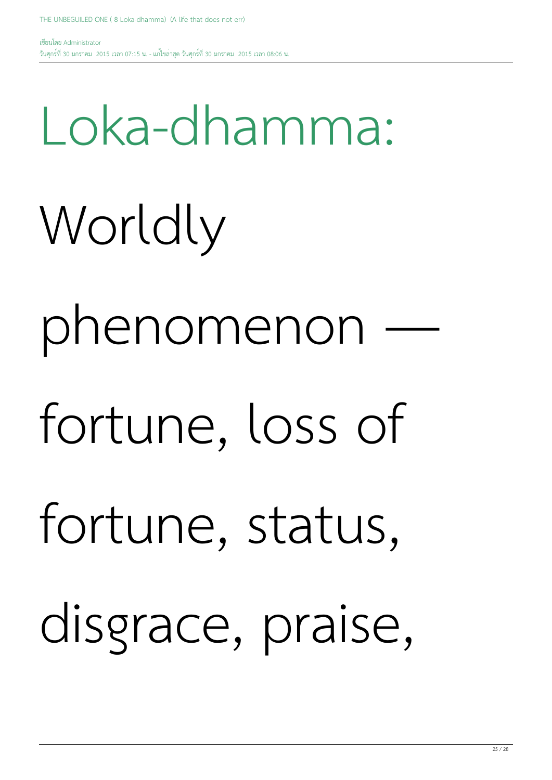Loka-dhamma:

Worldly

phenomenon —

- fortune, loss of
- fortune, status,

disgrace, praise,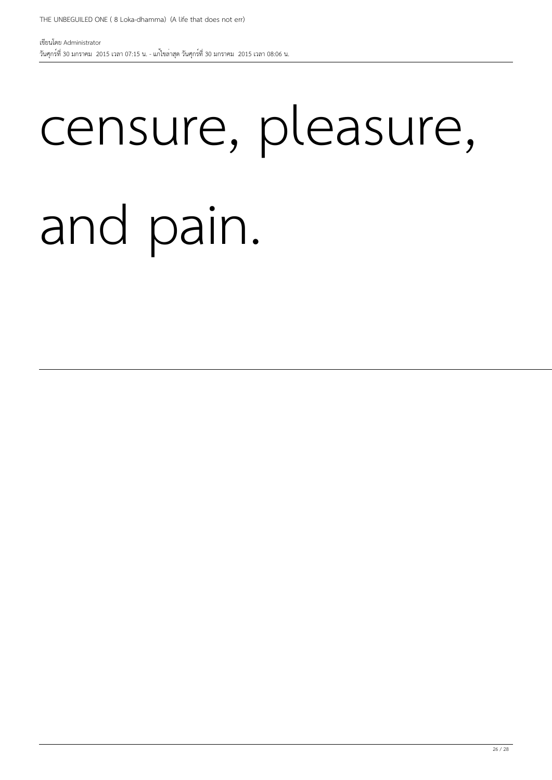## censure, pleasure, and pain.

เขียนโดย Administrator วันศุกร์ที่ 30 มกราคม 2015 เวลา 07:15 น. - แก้ไขล่าสุด วันศุกร์ที่ 30 มกราคม 2015 เวลา 08:06 น.